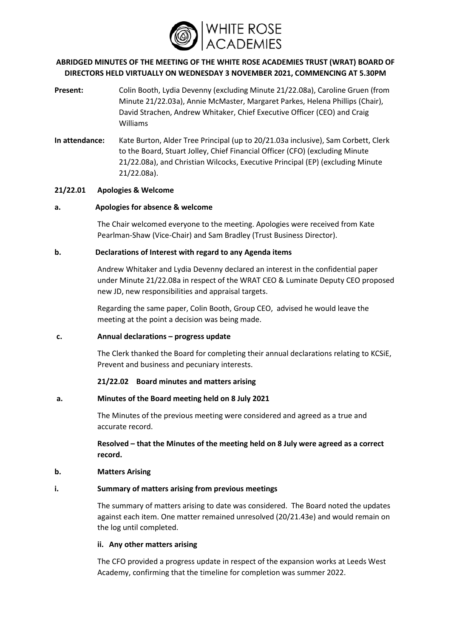

# **ABRIDGED MINUTES OF THE MEETING OF THE WHITE ROSE ACADEMIES TRUST (WRAT) BOARD OF DIRECTORS HELD VIRTUALLY ON WEDNESDAY 3 NOVEMBER 2021, COMMENCING AT 5.30PM**

- **Present:** Colin Booth, Lydia Devenny (excluding Minute 21/22.08a), Caroline Gruen (from Minute 21/22.03a), Annie McMaster, Margaret Parkes, Helena Phillips (Chair), David Strachen, Andrew Whitaker, Chief Executive Officer (CEO) and Craig Williams
- **In attendance:** Kate Burton, Alder Tree Principal (up to 20/21.03a inclusive), Sam Corbett, Clerk to the Board, Stuart Jolley, Chief Financial Officer (CFO) (excluding Minute 21/22.08a), and Christian Wilcocks, Executive Principal (EP) (excluding Minute 21/22.08a).

## **21/22.01 Apologies & Welcome**

## **a. Apologies for absence & welcome**

The Chair welcomed everyone to the meeting. Apologies were received from Kate Pearlman-Shaw (Vice-Chair) and Sam Bradley (Trust Business Director).

## **b. Declarations of Interest with regard to any Agenda items**

Andrew Whitaker and Lydia Devenny declared an interest in the confidential paper under Minute 21/22.08a in respect of the WRAT CEO & Luminate Deputy CEO proposed new JD, new responsibilities and appraisal targets.

Regarding the same paper, Colin Booth, Group CEO, advised he would leave the meeting at the point a decision was being made.

## **c. Annual declarations – progress update**

The Clerk thanked the Board for completing their annual declarations relating to KCSiE, Prevent and business and pecuniary interests.

**21/22.02 Board minutes and matters arising**

# **a. Minutes of the Board meeting held on 8 July 2021**

The Minutes of the previous meeting were considered and agreed as a true and accurate record.

**Resolved – that the Minutes of the meeting held on 8 July were agreed as a correct record.**

## **b. Matters Arising**

## **i. Summary of matters arising from previous meetings**

The summary of matters arising to date was considered. The Board noted the updates against each item. One matter remained unresolved (20/21.43e) and would remain on the log until completed.

## **ii. Any other matters arising**

The CFO provided a progress update in respect of the expansion works at Leeds West Academy, confirming that the timeline for completion was summer 2022.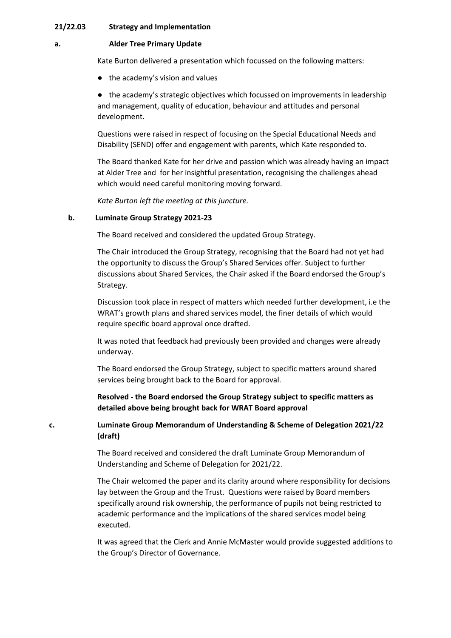### **21/22.03 Strategy and Implementation**

#### **a. Alder Tree Primary Update**

Kate Burton delivered a presentation which focussed on the following matters:

● the academy's vision and values

● the academy's strategic objectives which focussed on improvements in leadership and management, quality of education, behaviour and attitudes and personal development.

Questions were raised in respect of focusing on the Special Educational Needs and Disability (SEND) offer and engagement with parents, which Kate responded to.

The Board thanked Kate for her drive and passion which was already having an impact at Alder Tree and for her insightful presentation, recognising the challenges ahead which would need careful monitoring moving forward.

*Kate Burton left the meeting at this juncture.* 

### **b. Luminate Group Strategy 2021-23**

The Board received and considered the updated Group Strategy.

The Chair introduced the Group Strategy, recognising that the Board had not yet had the opportunity to discuss the Group's Shared Services offer. Subject to further discussions about Shared Services, the Chair asked if the Board endorsed the Group's Strategy.

Discussion took place in respect of matters which needed further development, i.e the WRAT's growth plans and shared services model, the finer details of which would require specific board approval once drafted.

It was noted that feedback had previously been provided and changes were already underway.

The Board endorsed the Group Strategy, subject to specific matters around shared services being brought back to the Board for approval.

**Resolved - the Board endorsed the Group Strategy subject to specific matters as detailed above being brought back for WRAT Board approval** 

**c. Luminate Group Memorandum of Understanding & Scheme of Delegation 2021/22 (draft)**

> The Board received and considered the draft Luminate Group Memorandum of Understanding and Scheme of Delegation for 2021/22.

The Chair welcomed the paper and its clarity around where responsibility for decisions lay between the Group and the Trust. Questions were raised by Board members specifically around risk ownership, the performance of pupils not being restricted to academic performance and the implications of the shared services model being executed.

It was agreed that the Clerk and Annie McMaster would provide suggested additions to the Group's Director of Governance.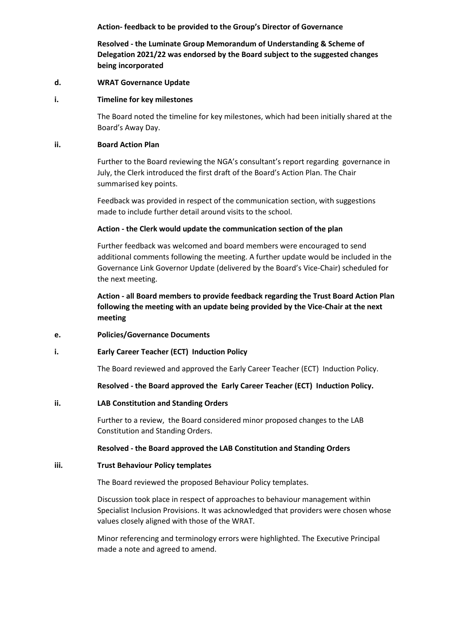**Action- feedback to be provided to the Group's Director of Governance** 

**Resolved - the Luminate Group Memorandum of Understanding & Scheme of Delegation 2021/22 was endorsed by the Board subject to the suggested changes being incorporated**

### **d. WRAT Governance Update**

### **i. Timeline for key milestones**

The Board noted the timeline for key milestones, which had been initially shared at the Board's Away Day.

## **ii. Board Action Plan**

Further to the Board reviewing the NGA's consultant's report regarding governance in July, the Clerk introduced the first draft of the Board's Action Plan. The Chair summarised key points.

Feedback was provided in respect of the communication section, with suggestions made to include further detail around visits to the school.

### **Action - the Clerk would update the communication section of the plan**

Further feedback was welcomed and board members were encouraged to send additional comments following the meeting. A further update would be included in the Governance Link Governor Update (delivered by the Board's Vice-Chair) scheduled for the next meeting.

**Action - all Board members to provide feedback regarding the Trust Board Action Plan following the meeting with an update being provided by the Vice-Chair at the next meeting** 

## **e. Policies/Governance Documents**

## **i. Early Career Teacher (ECT) Induction Policy**

The Board reviewed and approved the Early Career Teacher (ECT) Induction Policy.

### **Resolved - the Board approved the Early Career Teacher (ECT) Induction Policy.**

## **ii. LAB Constitution and Standing Orders**

Further to a review, the Board considered minor proposed changes to the LAB Constitution and Standing Orders.

## **Resolved - the Board approved the LAB Constitution and Standing Orders**

#### **iii. Trust Behaviour Policy templates**

The Board reviewed the proposed Behaviour Policy templates.

Discussion took place in respect of approaches to behaviour management within Specialist Inclusion Provisions. It was acknowledged that providers were chosen whose values closely aligned with those of the WRAT.

Minor referencing and terminology errors were highlighted. The Executive Principal made a note and agreed to amend.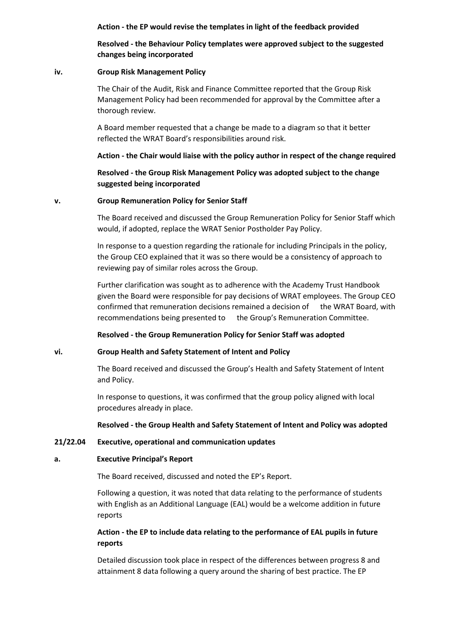**Action - the EP would revise the templates in light of the feedback provided**

**Resolved - the Behaviour Policy templates were approved subject to the suggested changes being incorporated** 

## **iv. Group Risk Management Policy**

The Chair of the Audit, Risk and Finance Committee reported that the Group Risk Management Policy had been recommended for approval by the Committee after a thorough review.

A Board member requested that a change be made to a diagram so that it better reflected the WRAT Board's responsibilities around risk.

## **Action - the Chair would liaise with the policy author in respect of the change required**

**Resolved - the Group Risk Management Policy was adopted subject to the change suggested being incorporated** 

### **v. Group Remuneration Policy for Senior Staff**

The Board received and discussed the Group Remuneration Policy for Senior Staff which would, if adopted, replace the WRAT Senior Postholder Pay Policy.

In response to a question regarding the rationale for including Principals in the policy, the Group CEO explained that it was so there would be a consistency of approach to reviewing pay of similar roles across the Group.

Further clarification was sought as to adherence with the Academy Trust Handbook given the Board were responsible for pay decisions of WRAT employees. The Group CEO confirmed that remuneration decisions remained a decision of the WRAT Board, with recommendations being presented to the Group's Remuneration Committee.

## **Resolved - the Group Remuneration Policy for Senior Staff was adopted**

## **vi. Group Health and Safety Statement of Intent and Policy**

The Board received and discussed the Group's Health and Safety Statement of Intent and Policy.

In response to questions, it was confirmed that the group policy aligned with local procedures already in place.

## **Resolved - the Group Health and Safety Statement of Intent and Policy was adopted**

## **21/22.04 Executive, operational and communication updates**

#### **a. Executive Principal's Report**

The Board received, discussed and noted the EP's Report.

Following a question, it was noted that data relating to the performance of students with English as an Additional Language (EAL) would be a welcome addition in future reports

## **Action - the EP to include data relating to the performance of EAL pupils in future reports**

Detailed discussion took place in respect of the differences between progress 8 and attainment 8 data following a query around the sharing of best practice. The EP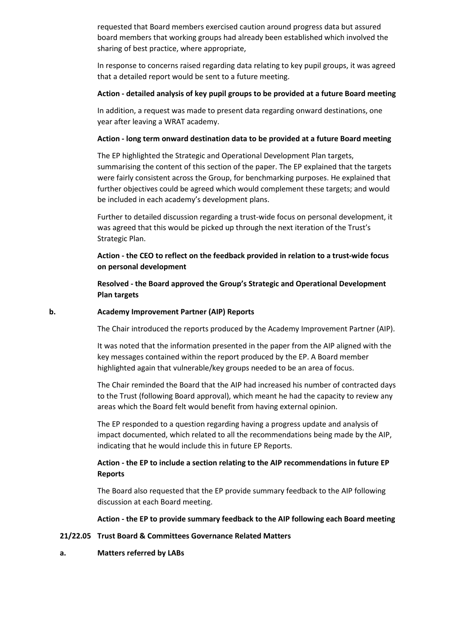requested that Board members exercised caution around progress data but assured board members that working groups had already been established which involved the sharing of best practice, where appropriate,

In response to concerns raised regarding data relating to key pupil groups, it was agreed that a detailed report would be sent to a future meeting.

## **Action - detailed analysis of key pupil groups to be provided at a future Board meeting**

In addition, a request was made to present data regarding onward destinations, one year after leaving a WRAT academy.

### **Action - long term onward destination data to be provided at a future Board meeting**

The EP highlighted the Strategic and Operational Development Plan targets, summarising the content of this section of the paper. The EP explained that the targets were fairly consistent across the Group, for benchmarking purposes. He explained that further objectives could be agreed which would complement these targets; and would be included in each academy's development plans.

Further to detailed discussion regarding a trust-wide focus on personal development, it was agreed that this would be picked up through the next iteration of the Trust's Strategic Plan.

# **Action - the CEO to reflect on the feedback provided in relation to a trust-wide focus on personal development**

**Resolved - the Board approved the Group's Strategic and Operational Development Plan targets**

### **b. Academy Improvement Partner (AIP) Reports**

The Chair introduced the reports produced by the Academy Improvement Partner (AIP).

It was noted that the information presented in the paper from the AIP aligned with the key messages contained within the report produced by the EP. A Board member highlighted again that vulnerable/key groups needed to be an area of focus.

The Chair reminded the Board that the AIP had increased his number of contracted days to the Trust (following Board approval), which meant he had the capacity to review any areas which the Board felt would benefit from having external opinion.

The EP responded to a question regarding having a progress update and analysis of impact documented, which related to all the recommendations being made by the AIP, indicating that he would include this in future EP Reports.

# **Action - the EP to include a section relating to the AIP recommendations in future EP Reports**

The Board also requested that the EP provide summary feedback to the AIP following discussion at each Board meeting.

#### **Action - the EP to provide summary feedback to the AIP following each Board meeting**

## **21/22.05 Trust Board & Committees Governance Related Matters**

## **a. Matters referred by LABs**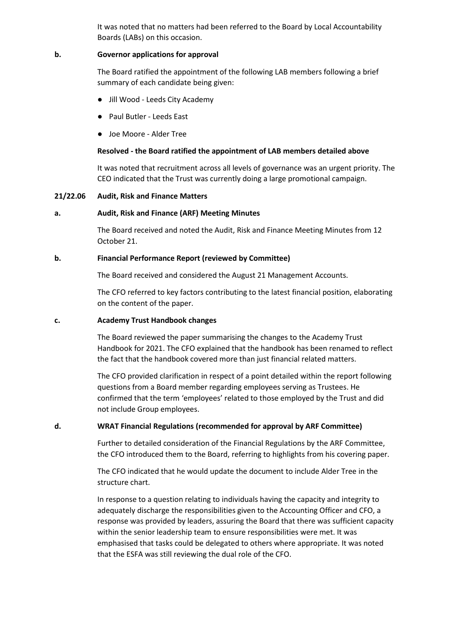It was noted that no matters had been referred to the Board by Local Accountability Boards (LABs) on this occasion.

### **b. Governor applications for approval**

The Board ratified the appointment of the following LAB members following a brief summary of each candidate being given:

- Jill Wood Leeds City Academy
- Paul Butler Leeds East
- Joe Moore Alder Tree

### **Resolved - the Board ratified the appointment of LAB members detailed above**

It was noted that recruitment across all levels of governance was an urgent priority. The CEO indicated that the Trust was currently doing a large promotional campaign.

#### **21/22.06 Audit, Risk and Finance Matters**

### **a. Audit, Risk and Finance (ARF) Meeting Minutes**

The Board received and noted the Audit, Risk and Finance Meeting Minutes from 12 October 21.

### **b. Financial Performance Report (reviewed by Committee)**

The Board received and considered the August 21 Management Accounts.

The CFO referred to key factors contributing to the latest financial position, elaborating on the content of the paper.

### **c. Academy Trust Handbook changes**

The Board reviewed the paper summarising the changes to the Academy Trust Handbook for 2021. The CFO explained that the handbook has been renamed to reflect the fact that the handbook covered more than just financial related matters.

The CFO provided clarification in respect of a point detailed within the report following questions from a Board member regarding employees serving as Trustees. He confirmed that the term 'employees' related to those employed by the Trust and did not include Group employees.

### **d. WRAT Financial Regulations (recommended for approval by ARF Committee)**

Further to detailed consideration of the Financial Regulations by the ARF Committee, the CFO introduced them to the Board, referring to highlights from his covering paper.

The CFO indicated that he would update the document to include Alder Tree in the structure chart.

In response to a question relating to individuals having the capacity and integrity to adequately discharge the responsibilities given to the Accounting Officer and CFO, a response was provided by leaders, assuring the Board that there was sufficient capacity within the senior leadership team to ensure responsibilities were met. It was emphasised that tasks could be delegated to others where appropriate. It was noted that the ESFA was still reviewing the dual role of the CFO.